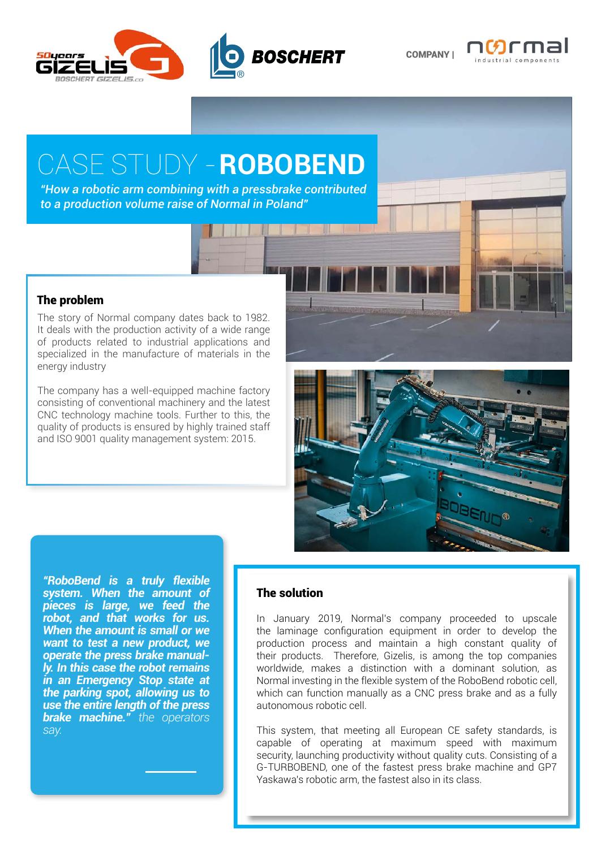

COMPANY |



## CASE STUDY - **ROBOBEND**

*"How a robotic arm combining with a pressbrake contributed to a production volume raise of Normal in Poland"*

## The problem

The story of Normal company dates back to 1982. It deals with the production activity of a wide range of products related to industrial applications and specialized in the manufacture of materials in the energy industry

The company has a well-equipped machine factory consisting of conventional machinery and the latest CNC technology machine tools. Further to this, the quality of products is ensured by highly trained staff and ISO 9001 quality management system: 2015.



*"RoboBend is a truly flexible system. When the amount of pieces is large, we feed the robot, and that works for us. When the amount is small or we want to test a new product, we operate the press brake manually. In this case the robot remains in an Emergency Stop state at the parking spot, allowing us to use the entire length of the press brake machine." the operators say.*

## The solution

In January 2019, Normal's company proceeded to upscale the laminage configuration equipment in order to develop the production process and maintain a high constant quality of their products. Therefore, Gizelis, is among the top companies worldwide, makes a distinction with a dominant solution, as Normal investing in the flexible system of the RoboBend robotic cell, which can function manually as a CNC press brake and as a fully autonomous robotic cell.

This system, that meeting all European CE safety standards, is capable of operating at maximum speed with maximum security, launching productivity without quality cuts. Consisting of a G-TURBOBEND, one of the fastest press brake machine and GP7 Yaskawa's robotic arm, the fastest also in its class.